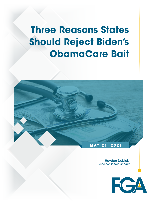# **Three Reasons States Should Reject Biden's ObamaCare Bait**



Hayden Dublois *Senior Research Analyst* 

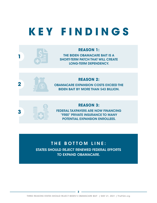# **KEY FINDINGS**



#### **REASON 1:**

THE BIDEN OBAMACARE BAIT IS A SHORT-TERM PATCH THAT WILL CREATE LONG-TERM DEPENDENCY.



#### **REASON 2:**

OBAMACARE EXPANSION COSTS EXCEED THE BIDEN BAIT BY MORE THAN \$43 BILLION.



#### **REASON 3:**

FEDERAL TAXPAYERS ARE NOW FINANCING "FREE" PRIVATE INSURANCE TO MANY POTENTIAL EXPANSION ENROLLEES.

# THE BOTTOM LINE: STATES SHOULD REJECT RENEWED FEDERAL EFFORTS TO EXPAND OBAMACARE.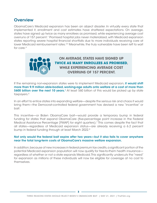#### **Overview**

ObamaCare's Medicaid expansion has been an abject disaster. In virtually every state that implemented it, enrollment and cost estimates have shattered expectations. On average, states have signed up twice as many enrollees as promised, while experiencing average cost overruns of 157 percent.1 Promised hospital jobs never materialized, with Medicaid expansion states reporting severe hospital financial shortfalls due to more individuals receiving care at lower Medicaid reimbursement rates.<sup>2-3</sup> Meanwhile, the truly vulnerable have been left to wait for care.4



If the remaining non-expansion states were to implement Medicaid expansion, it would shift more than 9.9 million able-bodied, working-age adults onto welfare at a cost of more than \$600 billion over the next 10 years.<sup>5</sup> At least \$60 billion of this would be picked up by state taxpayers.<sup>6</sup>

In an effort to entice states into expanding welfare—despite the serious risk and chaos it would bring them—the Democrat-controlled federal government has devised a new "incentive" or bait.

This incentive—or Biden ObamaCare bait—would provide a temporary bump in federal funding for states that expand ObamaCare (five-percentage point increase in the Federal Medical Assistance Percentage [FMAP] for eight quarters).<sup>7</sup> This comes despite the fact that all states—regardless of Medicaid expansion status—are already receiving a 6.2 percent bump in federal funding through at least March 2022.<sup>8</sup>

#### Not only would the federal bait expire after two years—but it also fails to cover anywhere near the total long-term costs of ObamaCare's massive welfare expansion.

In addition, because of new increases in federal premium tax credits, a significant portion of the potential Medicaid expansion population will now qualify for free-to-them health insurance regardless of whether or not a state expands Medicaid. This significantly undercuts the "need" for expansion as millions of these individuals will now be eligible for coverage at no cost to themselves.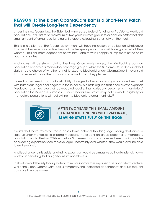# **REASON 1:** The Biden ObamaCare Bait is a Short-Term Patch that will Create Long-Term Dependency

Under the new federal law, the Biden bait—increased federal funding for *traditional* Medicaid populations—will last for a maximum of two years if states give in to expansion.9 After that, this small amount of enhanced funding will evaporate, leaving states fully on the hook.

This is a classic trap: The federal government will have no reason or obligation whatsoever to extend the federal incentive beyond the two-year period. They will have gotten what they wanted—millions more dependent on welfare—and they will happily dump more of the costs back onto states.

And states will be stuck holding the bag: Once implemented, the Medicaid expansion population becomes a mandatory coverage group.10 While the Supreme Court declared that states had a choice of whether or not to expand Medicaid under ObamaCare, it never said that states would have the option to come and go as they please.<sup>11</sup>

Indeed, states seeking to make eligibility changes to the expansion group have been met with numerous legal challenges.<sup>12</sup> In these cases, plaintiffs argued that once a state expands Medicaid to a new class of able-bodied adults, that category becomes a "mandatory" population for Medicaid purposes.13 Under federal law, states may not eliminate eligibility for mandatory populations without exiting the Medicaid program entirely.<sup>14</sup>



AFTER TWO YEARS, THIS SMALL AMOUNT OF ENHANCED FUNDING WILL EVAPORATE, **LEAVING STATES FULLY ON THE HOOK**.

Courts that have reviewed these cases have echoed this language, noting that once a state voluntarily chooses to expand Medicaid, the expansion group becomes a mandatory population under the law.15 While a future Supreme Court could reverse these holdings, states considering expansion face massive legal uncertainty over whether they would ever be able to end expansion.

And legal uncertainty aside, unwinding expansion would be a massive political undertaking—a worthy undertaking, but a significant lift, nonetheless.

In short, it would be silly for any state to think of ObamaCare expansion as a short-term venture. While the Biden ObamaCare bait is temporary, the increased dependency and subsequent costs are likely permanent.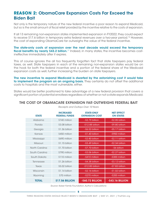# **REASON 2:** ObamaCare Expansion Costs Far Exceed the Biden Bait

Not only is the temporary nature of the new federal incentive a poor reason to expand Medicaid, but so is the small amount of fiscal relief provided by the incentive relative to the costs of expansion.

If all 13 remaining non-expansion states implemented expansion in FY2022, they could expect to receive \$17.6 billion in temporary extra federal revenues over a two-year period.16 However, the cost of expanding ObamaCare far outweighs the value of the federal incentive.

The state-only costs of expansion over the next decade would exceed the temporary fiscal benefits by nearly \$43.2 billion.<sup>17</sup> Indeed, in many states, the incentive becomes costineffective immediately after it expires.

This of course ignores the all too frequently forgotten fact that state taxpayers pay federal taxes, as well. State taxpayers in each of the remaining non-expansion states would be on the hook for both the federal incentive and a portion of the federal share of the Medicaid expansion costs as well, further increasing the burden on state taxpayers.

The new incentive to expand Medicaid is dwarfed by the astonishing cost it would take to implement the program on an ongoing basis. They certainly do not offset the additional costs to hospitals and the most vulnerable, either.

States would be better positioned to take advantage of a new federal provision that covers a significant portion of potential enrollees regardless of whether or not a state expands Medicaid.

#### THE COST OF OBAMACARE EXPANSION FAR OUTWEIGHS FEDERAL BAIT

| <b>STATE</b>   | <b>INCREASED</b><br><b>FEDERAL FUNDS</b> | <b>STATE-ONLY</b><br><b>EXPANSION COST</b> | <b>NET FFFFCT</b><br><b>ON STATES</b> |
|----------------|------------------------------------------|--------------------------------------------|---------------------------------------|
| Alabama        | \$740 million                            | -\$2.79 billion                            | -\$2.05 billion                       |
| Florida        | \$3.08 billion                           | $-$ \$12.88 billion                        | -\$9.80 billion                       |
| Georgia        | \$1.36 billion                           | -\$6,53 billion                            | -\$5.17 billion                       |
| Kansas         | \$450 million                            | -\$1.40 billion                            | -\$950 million                        |
| Mississippi    | \$690 million                            | -\$2.80 billion                            | -\$2.11 billion                       |
| Missouri       | \$1.15 billion                           | -\$3.49 billion                            | -\$2.34 billion                       |
| North Carolina | \$1.70 billion                           | -\$7.70 billion                            | -\$6 billion                          |
| South Carolina | \$790 million                            | $-$ \$3.06 billion                         | $-$ \$2.27 billion                    |
| South Dakota   | \$110 million                            | -\$410 million                             | -\$300 million                        |
| Tennessee      | \$1.26 billion                           | -\$4.38 billion                            | $-$ \$3.12 billion                    |
| Texas          | \$5.02 billion                           | $-$ \$12.85 billion                        | -\$7.83 billion                       |
| Wisconsin      | \$1.14 billion                           | -\$2.16 billion                            | $-$ \$1.02 billion                    |
| Wyoming        | \$70 million                             | -\$270 million                             | -\$200 million                        |
| <b>TOTAL</b>   | \$17.56 BILLION                          | -\$60.72 BILLION                           | <b>-\$43.16 BILLION</b>               |

*Receipts and Outlays Over 10 Years*

*Source: Kaiser Family Foundation, Author's Calculations*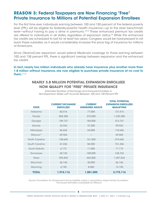### **REASON 3:** Federal Taxpayers are Now Financing "Free" Private Insurance to Millions of Potential Expansion Enrollees

For the first time ever, individuals earning between 100 and 150 percent of the federal poverty level (FPL) will be eligible for federally-paid-for health insurance—up to the silver benchmark level—without having to pay a dime in premiums.18-19 These enhanced premium tax credits are offered to individuals in all states, regardless of expansion status.<sup>20</sup> While the enhanced tax credits are scheduled to last for at least two years, Congress would be hard-pressed to roll back these subsidies, as it would considerably increase the price tag of insurance for millions of Americans.

Since ObamaCare expansion would extend Medicaid coverage to those earning between 100 and 138 percent FPL, there is significant overlap between expansion and the enhanced tax credits.

In fact, nearly two million individuals who already have insurance, plus another more than 1.8 million without insurance, are now eligible to purchase private insurance at no cost to them.21-22

#### NEARLY 3.8 MILLION POTENTIAL EXPANSION ENROLLEES NOW QUALIFY FOR "FREE" PRIVATE INSURANCE

| <b>STATE</b>   | <b>CURRENT EXCHANGE</b><br><b>ENROLLEES</b> | <b>CURRENT</b><br><b>UNINSURED ADULTS</b> | <b>IOIAL POIENIIAL</b><br><b>EXPANSION ENROLLEES</b><br><b>QUALIFYING</b> |
|----------------|---------------------------------------------|-------------------------------------------|---------------------------------------------------------------------------|
| Alabama        | 60,416                                      | 77,000                                    | 137,416                                                                   |
| Florida        | 855,285                                     | 375,000                                   | 1,230,285                                                                 |
| Georgia        | 189,737                                     | 184,000                                   | 373,737                                                                   |
| Kansas         | 22,924                                      | 37,000                                    | 59,924                                                                    |
| Mississippi    | 46,626                                      | 64,000                                    | 110,626                                                                   |
| Missouri*      | 69,965                                      |                                           | 69,965                                                                    |
| North Carolina | 158,645                                     | 161,000                                   | 319,645                                                                   |
| South Carolina | 67,436                                      | 84,000                                    | 151,436                                                                   |
| South Dakota   | 6,172                                       | 11,000                                    | 17,172                                                                    |
| Tennessee      | 60,742                                      | 108,000                                   | 168,762                                                                   |
| Texas          | 395,832                                     | 662,000                                   | 1,057,832                                                                 |
| Wisconsin      | 36,146                                      | 30,000                                    | 66,146                                                                    |
| Wyoming        | 4,190                                       | 8,000                                     | 12,190                                                                    |
| <b>TOTAL</b>   | 1,974,116                                   | 1,801,000                                 | 3,775,116                                                                 |

*Estimated Number of Exchange and Uninsured Enrollees in Non-Expansion States with Incomes Between 100 and 138 Percent FPL*

TOTAL POTENTIAL

*Source: Foundation for Government Accountability, author's calculations, Kaiser Family Foundation \*Uninsured estimates unavailable for Missouri*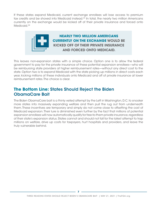If these states expand Medicaid, current exchange enrollees will lose access to premium tax credits and be shoved into Medicaid instead.<sup>23</sup> In total, the nearly two million Americans currently on the exchange would be kicked off of their private insurance and forced onto Medicaid.<sup>24</sup>



**NEARLY TWO MILLION AMERICANS CURRENTLY ON THE EXCHANGE** WOULD BE KICKED OFF OF THEIR PRIVATE INSURANCE AND FORCED ONTO MEDICAID.

This leaves non-expansion states with a simple choice. Option one is to allow the federal government to pay for the private insurance of these potential expansion enrollees—who will be reimbursing state providers at higher reimbursement rates—without any direct cost to the state. Option two is to expand Medicaid with the state picking up millions in direct costs each year, kicking millions of these individuals onto Medicaid and off of private insurance at lower reimbursement rates. The choice is clear.

# **The Bottom Line:** States Should Reject the Biden ObamaCare Bait

The Biden ObamaCare bait is a thinly veiled attempt by the Left in Washington, D.C. to snooker more states into massively expanding welfare and then pull the rug out from underneath them. These incentives are temporary and simply do not come close to offsetting the cost of Medicaid expansion. Their lure is diminished even further by the fact that millions of potential expansion enrollees will now automatically qualify for free-to-them private insurance, regardless of their state's expansion status. States cannot and should not fall for the latest attempt to trap millions on welfare, drive up costs for taxpayers, hurt hospitals and providers, and leave the truly vulnerable behind.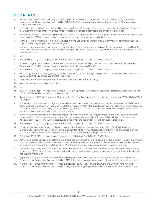#### **REFERENCES**

- 1. Nicholas Horton and Jonathan Ingram, "A Budget Crisis in Three Parts: How ObamaCare is Bankrupting Taxpayers," Foundation for Government Accountability (2018), https://thefga.org/paper/budget-crisis-three-parts-obamacarebankrupting-taxpayers/.
- 2. Jordan Roberts and Nicholas Horton, "Five key signs ObamaCare expansion is not a silver bullet for hospitals," Foundation for Government Accountability (2020), https://thefga.org/paper/obamacare-expansion-hospital-jobs/.
- 3. Hayden Dublois and Jonathan Ingram, "Hospital losses pile up after ObamaCare expansion," Foundation for Government Accountability (2020), https://thefga.org/paper/obamacare-expansion-hospital-losses/.
- 4. Nicholas Horton, "Waiting for Help: The Medicaid Waiting List Crisis," Foundation for Government Accountability (2018), https://thefga.org/paper/medicaid-waiting-list/.
- 5. Nicholas Horton and Jonathan Ingram, "How the ObamaCare dependency crisis could get even worse and how to stop it," Foundation for Government Accountability (2018), https://thefga.org/paper/obamacare-dependency-crisis-geteven-worse-stop/.
- 6. Ibid.
- 7. Public Law 117-2 (2021), https://www.congress.gov/117/bills/hr1319/BILLS-117hr1319enr.pdf.
- 8. Jonathan Ingram et al, "Extra COVID-19 Medicaid Funds Come At A High Cost to States," Foundation for Government Accountability (2020), https://thefga.org/paper/covid-19-medicaid-funds/.
- 9. Public Law 117-2 (2021), https://www.congress.gov/117/bills/hr1319/BILLS-117hr1319enr.pdf.
- 10. 42 U.S.C. §§ 1396a(a)(10)(A)(i)(VIII), 1396a(e)(14) (2010), https://www.govinfo.gov/app/details/USCODE-2010-title42/ USCODE-2010-title42-chap7-subchapXIX-sec1396a.
- 11. National Federation of Independent Businesses v. Sebelius 567 U.S. 519 (2012).
- 12. See. Stewart v. Azar and Gresham v. Azar.
- 13. Ibid.
- 14. 42 U.S.C. §§ 1396a(a)(10)(A)(i)(VIII), 1396a(e)(14) (2010), https://www.govinfo.gov/app/details/USCODE-2010-title42/ USCODE-2010-title42-chap7-subchapXIX-sec1396a.
- 15. Stewart v. Azar (2018) Memorandum Opinion, https://affordablecareactlitigation.files.wordpress.com/2018/09/5465883-0- 18979.pdf.
- 16. Author's calculations based on figures reported by the Kaiser Family Foundation on the fiscal effects of the FMAP boost. See, e.g., Rudowitz et al, "New Incentive for States to Adopt the ACA Medicaid Expansion: Implications for State Spending," Kaiser Family Foundation (2021), https://www.kff.org/medicaid/issue-brief/new-incentive-for-states-to-adopt-the-acamedicaid-expansion-implications-for-state-spending/.
- 17. Author's calculations based on Medicaid Expansion cost estimates. See, e.g., Nicholas Horton and Jonathan Ingram, "How the ObamaCare dependency crisis could get even worse — and how to stop it," Foundation for Government Accountability (2018), https://thefga.org/paper/obamacare-dependency-crisis-get-even-worse-stop/.
- 18. Public Law 117-2 (2021), https://www.congress.gov/117/bills/hr1319/BILLS-117hr1319enr.pdf.
- 19. Daniel McDermott et al, "Impact of Key Provisions of the American Rescue Plan Act of 2021 COVID-19 Relief on Marketplace Premiums," Kaiser Family Foundation (2021), https://www.kff.org/health-reform/issue-brief/impact-of-keyprovisions-of-the-american-rescue-plan-act-of-2021-covid-19-relief-on-marketplace-premiums/.
- 20. Public Law 117-2 (2021), https://www.congress.gov/117/bills/hr1319/BILLS-117hr1319enr.pdf.
- 21. Author's calculations based on estimated marketplace enrollment for individuals below 138 percent FPL. See, e.g., Ingram et al, "Forced Into Welfare: How Medicaid Expansion Will Kick Millions of Americans Off Of Private Insurance," Foundation for Government Accountability (2019), https://thefga.org/paper/medicaid-expansion-private-insurance/.
- 22. Rachel Garfield et al, "The Coverage Gap: Uninsured Poor Adults in States that Do Not Expand Medicaid," Kaiser Family Foundation (2021), https://www.kff.org/medicaid/issue-brief/the-coverage-gap-uninsured-poor-adults-in-states-that-donot-expand-medicaid/.
- 23. Ingram et al, "Forced Into Welfare: How Medicaid Expansion Will Kick Millions of Americans Off Of Private Insurance," Foundation for Government Accountability (2019), https://thefga.org/paper/medicaid-expansion-private-insurance/.
- 24. Ingram et al, "Forced Into Welfare: How Medicaid Expansion Will Kick Millions of Americans Off Of Private Insurance," Foundation for Government Accountability (2019), https://thefga.org/paper/medicaid-expansion-private-insurance/.